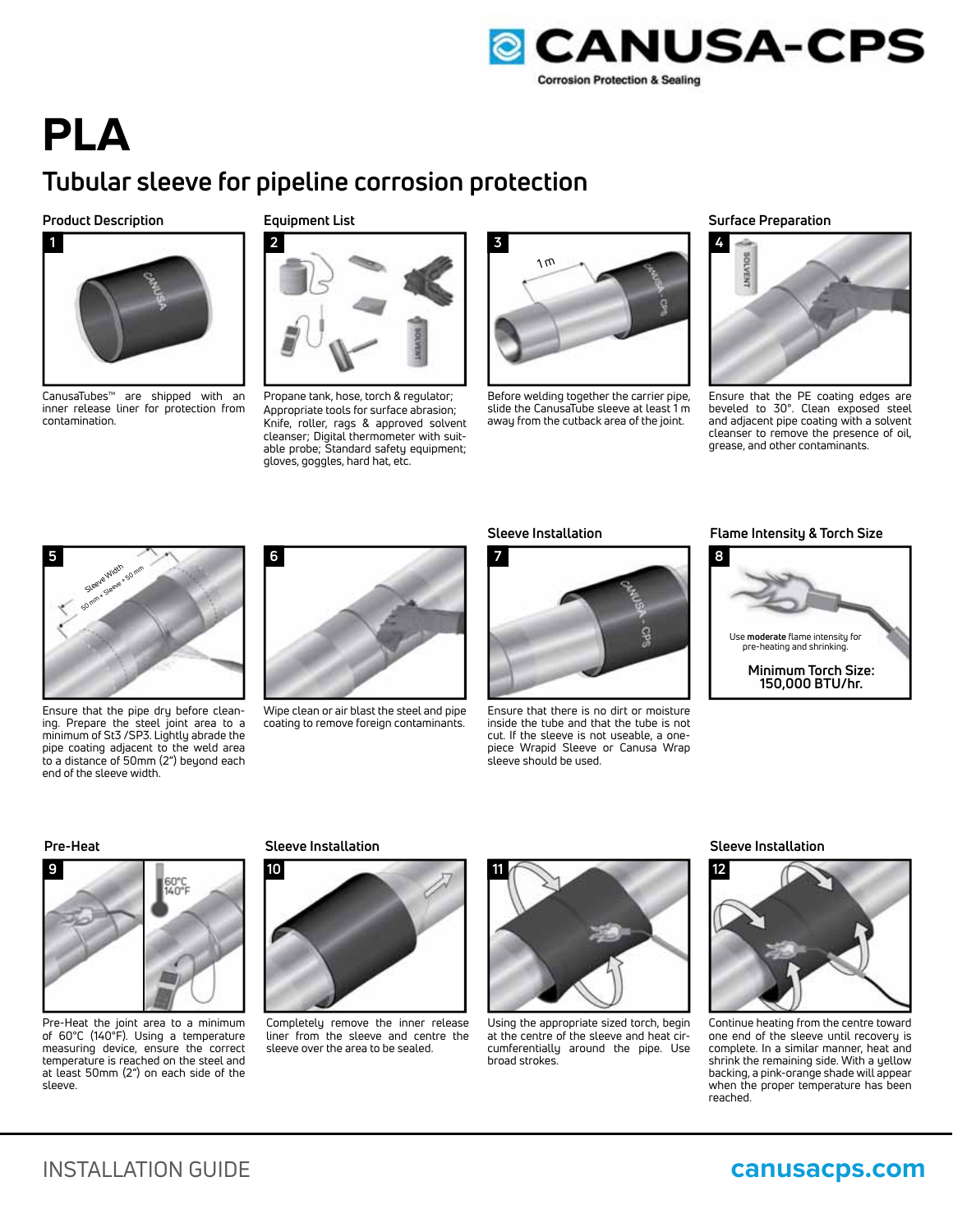

# **PLA**

## **Tubular sleeve for pipeline corrosion protection**

### **Product Description**



CanusaTubes™ are shipped with an inner release liner for protection from contamination.

### **Equipment List**



Propane tank, hose, torch & regulator; Appropriate tools for surface abrasion; Knife, roller, rags & approved solvent cleanser; Digital thermometer with suitable probe; Standard safety equipment; gloves, goggles, hard hat, etc.



Before welding together the carrier pipe, slide the CanusaTube sleeve at least 1 m away from the cutback area of the joint.

### **Surface Preparation**



Ensure that the PE coating edges are beveled to 30°. Clean exposed steel and adjacent pipe coating with a solvent cleanser to remove the presence of oil, grease, and other contaminants.



Ensure that the pipe dry before cleaning. Prepare the steel joint area to a minimum of St3 /SP3. Lightly abrade the pipe coating adjacent to the weld area to a distance of 50mm (2") beyond each end of the sleeve width.



Wipe clean or air blast the steel and pipe coating to remove foreign contaminants.

### **Sleeve Installation**



Ensure that there is no dirt or moisture inside the tube and that the tube is not cut. If the sleeve is not useable, a onepiece Wrapid Sleeve or Canusa Wrap sleeve should be used.

### **Flame Intensity & Torch Size**





Pre-Heat the joint area to a minimum of 60°C (140°F). Using a temperature measuring device, ensure the correct temperature is reached on the steel and at least 50mm (2") on each side of the sleeve.



Completely remove the inner release liner from the sleeve and centre the sleeve over the area to be sealed.



Using the appropriate sized torch, begin at the centre of the sleeve and heat circumferentially around the pipe. Use broad strokes.

### **Pre-Heat Sleeve Installation Sleeve Installation**



Continue heating from the centre toward one end of the sleeve until recovery is complete. In a similar manner, heat and shrink the remaining side. With a yellow backing, a pink-orange shade will appear when the proper temperature has been reached.